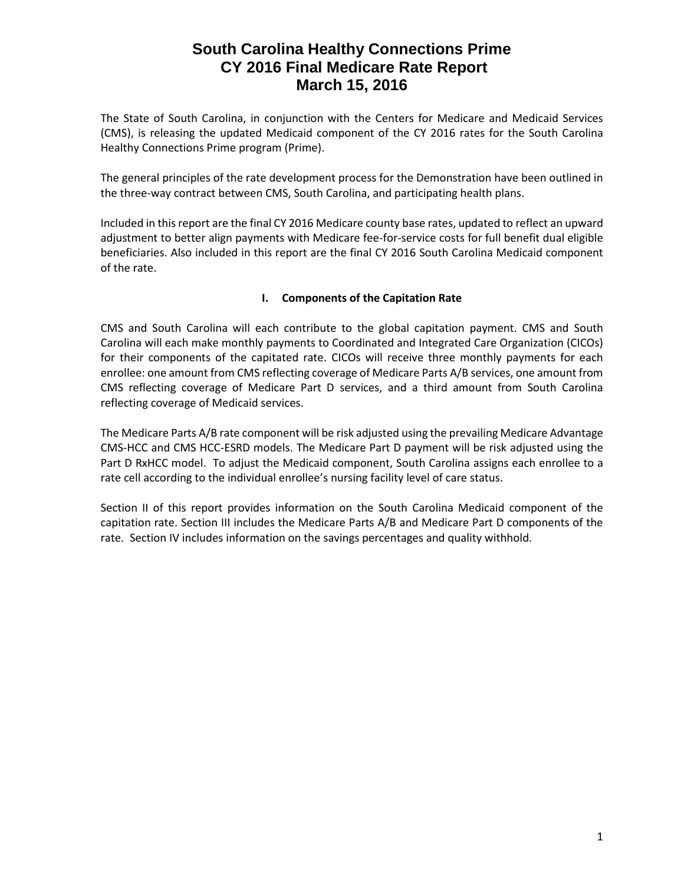The State of South Carolina, in conjunction with the Centers for Medicare and Medicaid Services (CMS), is releasing the updated Medicaid component of the CY 2016 rates for the South Carolina Healthy Connections Prime program (Prime).

The general principles of the rate development process for the Demonstration have been outlined in the three-way contract between CMS, South Carolina, and participating health plans.

Included in this report are the final CY 2016 Medicare county base rates, updated to reflect an upward adjustment to better align payments with Medicare fee-for-service costs for full benefit dual eligible beneficiaries. Also included in this report are the final CY 2016 South Carolina Medicaid component of the rate.

### **I. Components of the Capitation Rate**

CMS and South Carolina will each contribute to the global capitation payment. CMS and South Carolina will each make monthly payments to Coordinated and Integrated Care Organization (CICOs) for their components of the capitated rate. CICOs will receive three monthly payments for each enrollee: one amount from CMS reflecting coverage of Medicare Parts A/B services, one amount from CMS reflecting coverage of Medicare Part D services, and a third amount from South Carolina reflecting coverage of Medicaid services.

The Medicare Parts A/B rate component will be risk adjusted using the prevailing Medicare Advantage CMS-HCC and CMS HCC-ESRD models. The Medicare Part D payment will be risk adjusted using the Part D RxHCC model. To adjust the Medicaid component, South Carolina assigns each enrollee to a rate cell according to the individual enrollee's nursing facility level of care status.

Section II of this report provides information on the South Carolina Medicaid component of the capitation rate. Section III includes the Medicare Parts A/B and Medicare Part D components of the rate. Section IV includes information on the savings percentages and quality withhold.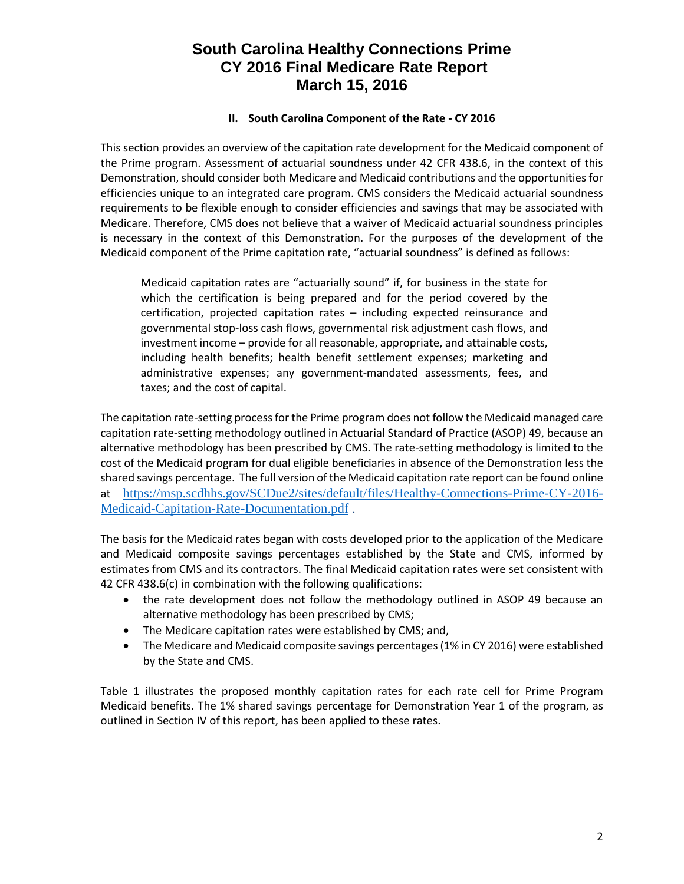#### **II. South Carolina Component of the Rate - CY 2016**

This section provides an overview of the capitation rate development for the Medicaid component of the Prime program. Assessment of actuarial soundness under 42 CFR 438.6, in the context of this Demonstration, should consider both Medicare and Medicaid contributions and the opportunities for efficiencies unique to an integrated care program. CMS considers the Medicaid actuarial soundness requirements to be flexible enough to consider efficiencies and savings that may be associated with Medicare. Therefore, CMS does not believe that a waiver of Medicaid actuarial soundness principles is necessary in the context of this Demonstration. For the purposes of the development of the Medicaid component of the Prime capitation rate, "actuarial soundness" is defined as follows:

Medicaid capitation rates are "actuarially sound" if, for business in the state for which the certification is being prepared and for the period covered by the certification, projected capitation rates – including expected reinsurance and governmental stop-loss cash flows, governmental risk adjustment cash flows, and investment income – provide for all reasonable, appropriate, and attainable costs, including health benefits; health benefit settlement expenses; marketing and administrative expenses; any government-mandated assessments, fees, and taxes; and the cost of capital.

The capitation rate-setting process for the Prime program does not follow the Medicaid managed care capitation rate-setting methodology outlined in Actuarial Standard of Practice (ASOP) 49, because an alternative methodology has been prescribed by CMS. The rate-setting methodology is limited to the cost of the Medicaid program for dual eligible beneficiaries in absence of the Demonstration less the shared savings percentage. The full version of the Medicaid capitation rate report can be found online at [https://msp.scdhhs.gov/SCDue2/sites/default/files/Healthy-Connections-Prime-CY-2016-](https://msp.scdhhs.gov/SCDue2/sites/default/files/Healthy-Connections-Prime-CY-2016-Medicaid-Capitation-Rate-Documentation.pdf) [Medicaid-Capitation-Rate-Documentation.pdf](https://msp.scdhhs.gov/SCDue2/sites/default/files/Healthy-Connections-Prime-CY-2016-Medicaid-Capitation-Rate-Documentation.pdf) .

The basis for the Medicaid rates began with costs developed prior to the application of the Medicare and Medicaid composite savings percentages established by the State and CMS, informed by estimates from CMS and its contractors. The final Medicaid capitation rates were set consistent with 42 CFR 438.6(c) in combination with the following qualifications:

- the rate development does not follow the methodology outlined in ASOP 49 because an alternative methodology has been prescribed by CMS;
- The Medicare capitation rates were established by CMS; and,
- The Medicare and Medicaid composite savings percentages (1% in CY 2016) were established by the State and CMS.

Table 1 illustrates the proposed monthly capitation rates for each rate cell for Prime Program Medicaid benefits. The 1% shared savings percentage for Demonstration Year 1 of the program, as outlined in Section IV of this report, has been applied to these rates.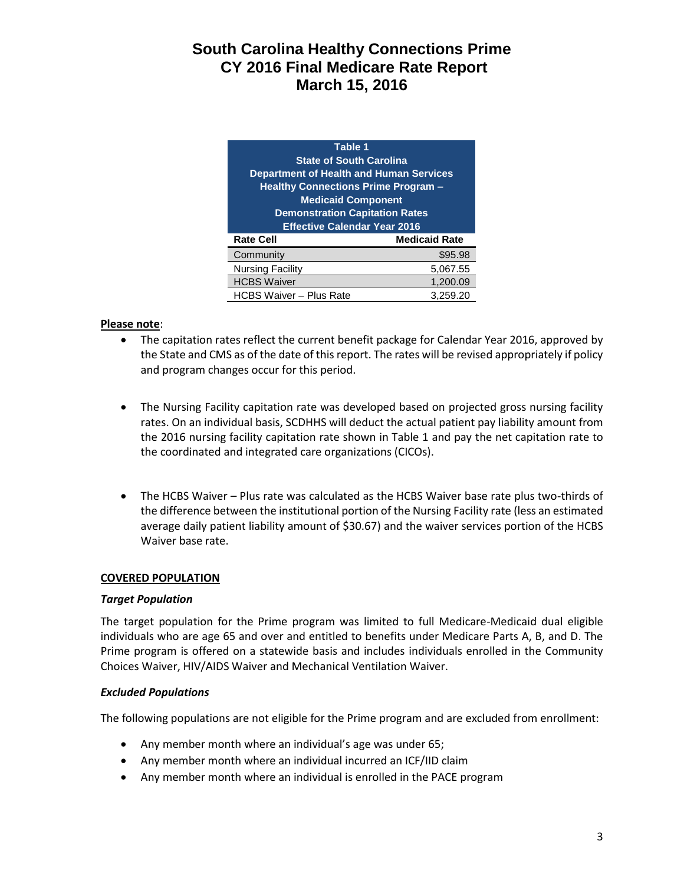| Table 1                                        |                      |  |  |  |
|------------------------------------------------|----------------------|--|--|--|
| <b>State of South Carolina</b>                 |                      |  |  |  |
| <b>Department of Health and Human Services</b> |                      |  |  |  |
| <b>Healthy Connections Prime Program -</b>     |                      |  |  |  |
| <b>Medicaid Component</b>                      |                      |  |  |  |
| <b>Demonstration Capitation Rates</b>          |                      |  |  |  |
| <b>Effective Calendar Year 2016</b>            |                      |  |  |  |
|                                                |                      |  |  |  |
| <b>Rate Cell</b>                               | <b>Medicaid Rate</b> |  |  |  |
| Community                                      | \$95.98              |  |  |  |
| <b>Nursing Facility</b>                        | 5,067.55             |  |  |  |
| <b>HCBS Waiver</b>                             | 1,200.09             |  |  |  |

### **Please note**:

- The capitation rates reflect the current benefit package for Calendar Year 2016, approved by the State and CMS as of the date of this report. The rates will be revised appropriately if policy and program changes occur for this period.
- The Nursing Facility capitation rate was developed based on projected gross nursing facility rates. On an individual basis, SCDHHS will deduct the actual patient pay liability amount from the 2016 nursing facility capitation rate shown in Table 1 and pay the net capitation rate to the coordinated and integrated care organizations (CICOs).
- The HCBS Waiver Plus rate was calculated as the HCBS Waiver base rate plus two-thirds of the difference between the institutional portion of the Nursing Facility rate (less an estimated average daily patient liability amount of \$30.67) and the waiver services portion of the HCBS Waiver base rate.

#### **COVERED POPULATION**

#### *Target Population*

The target population for the Prime program was limited to full Medicare-Medicaid dual eligible individuals who are age 65 and over and entitled to benefits under Medicare Parts A, B, and D. The Prime program is offered on a statewide basis and includes individuals enrolled in the Community Choices Waiver, HIV/AIDS Waiver and Mechanical Ventilation Waiver.

#### *Excluded Populations*

The following populations are not eligible for the Prime program and are excluded from enrollment:

- Any member month where an individual's age was under 65;
- Any member month where an individual incurred an ICF/IID claim
- Any member month where an individual is enrolled in the PACE program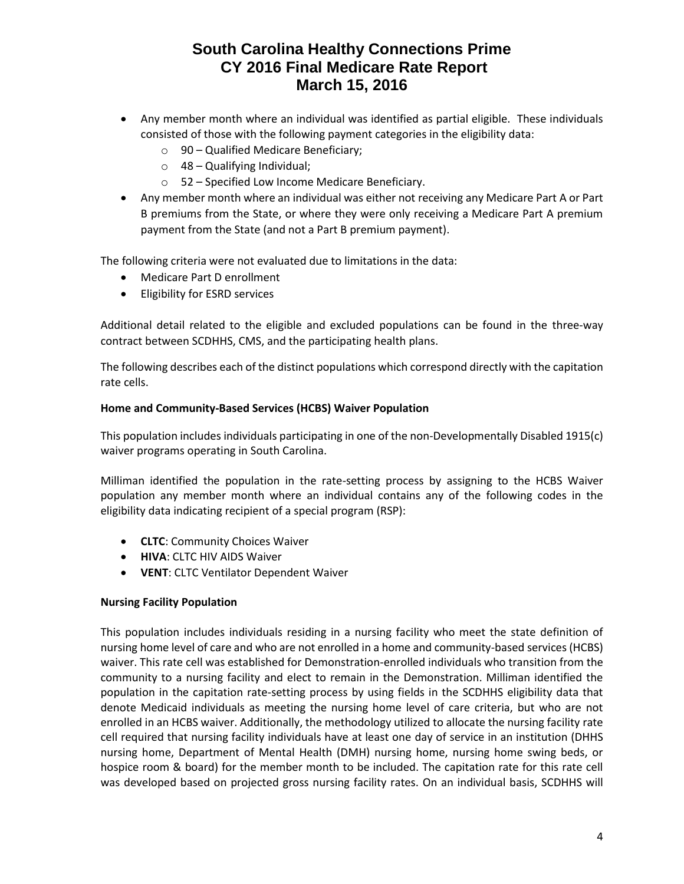- Any member month where an individual was identified as partial eligible. These individuals consisted of those with the following payment categories in the eligibility data:
	- o 90 Qualified Medicare Beneficiary;
	- o 48 Qualifying Individual;
	- o 52 Specified Low Income Medicare Beneficiary.
- Any member month where an individual was either not receiving any Medicare Part A or Part B premiums from the State, or where they were only receiving a Medicare Part A premium payment from the State (and not a Part B premium payment).

The following criteria were not evaluated due to limitations in the data:

- Medicare Part D enrollment
- **•** Eligibility for ESRD services

Additional detail related to the eligible and excluded populations can be found in the three-way contract between SCDHHS, CMS, and the participating health plans.

The following describes each of the distinct populations which correspond directly with the capitation rate cells.

#### **Home and Community-Based Services (HCBS) Waiver Population**

This population includes individuals participating in one of the non-Developmentally Disabled 1915(c) waiver programs operating in South Carolina.

Milliman identified the population in the rate-setting process by assigning to the HCBS Waiver population any member month where an individual contains any of the following codes in the eligibility data indicating recipient of a special program (RSP):

- **CLTC**: Community Choices Waiver
- **HIVA**: CLTC HIV AIDS Waiver
- **VENT**: CLTC Ventilator Dependent Waiver

#### **Nursing Facility Population**

This population includes individuals residing in a nursing facility who meet the state definition of nursing home level of care and who are not enrolled in a home and community-based services (HCBS) waiver. This rate cell was established for Demonstration-enrolled individuals who transition from the community to a nursing facility and elect to remain in the Demonstration. Milliman identified the population in the capitation rate-setting process by using fields in the SCDHHS eligibility data that denote Medicaid individuals as meeting the nursing home level of care criteria, but who are not enrolled in an HCBS waiver. Additionally, the methodology utilized to allocate the nursing facility rate cell required that nursing facility individuals have at least one day of service in an institution (DHHS nursing home, Department of Mental Health (DMH) nursing home, nursing home swing beds, or hospice room & board) for the member month to be included. The capitation rate for this rate cell was developed based on projected gross nursing facility rates. On an individual basis, SCDHHS will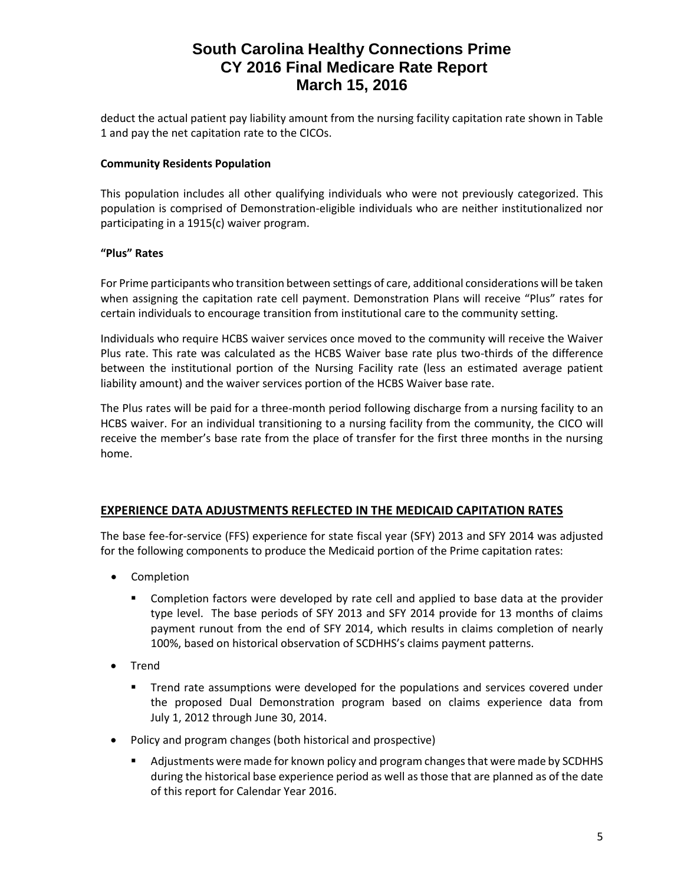deduct the actual patient pay liability amount from the nursing facility capitation rate shown in Table 1 and pay the net capitation rate to the CICOs.

### **Community Residents Population**

This population includes all other qualifying individuals who were not previously categorized. This population is comprised of Demonstration-eligible individuals who are neither institutionalized nor participating in a 1915(c) waiver program.

### **"Plus" Rates**

For Prime participants who transition between settings of care, additional considerations will be taken when assigning the capitation rate cell payment. Demonstration Plans will receive "Plus" rates for certain individuals to encourage transition from institutional care to the community setting.

Individuals who require HCBS waiver services once moved to the community will receive the Waiver Plus rate. This rate was calculated as the HCBS Waiver base rate plus two-thirds of the difference between the institutional portion of the Nursing Facility rate (less an estimated average patient liability amount) and the waiver services portion of the HCBS Waiver base rate.

The Plus rates will be paid for a three-month period following discharge from a nursing facility to an HCBS waiver. For an individual transitioning to a nursing facility from the community, the CICO will receive the member's base rate from the place of transfer for the first three months in the nursing home.

### **EXPERIENCE DATA ADJUSTMENTS REFLECTED IN THE MEDICAID CAPITATION RATES**

The base fee-for-service (FFS) experience for state fiscal year (SFY) 2013 and SFY 2014 was adjusted for the following components to produce the Medicaid portion of the Prime capitation rates:

- Completion
	- **Completion factors were developed by rate cell and applied to base data at the provider** type level. The base periods of SFY 2013 and SFY 2014 provide for 13 months of claims payment runout from the end of SFY 2014, which results in claims completion of nearly 100%, based on historical observation of SCDHHS's claims payment patterns.
- Trend
	- **Trend rate assumptions were developed for the populations and services covered under** the proposed Dual Demonstration program based on claims experience data from July 1, 2012 through June 30, 2014.
- Policy and program changes (both historical and prospective)
	- Adjustments were made for known policy and program changes that were made by SCDHHS during the historical base experience period as well as those that are planned as of the date of this report for Calendar Year 2016.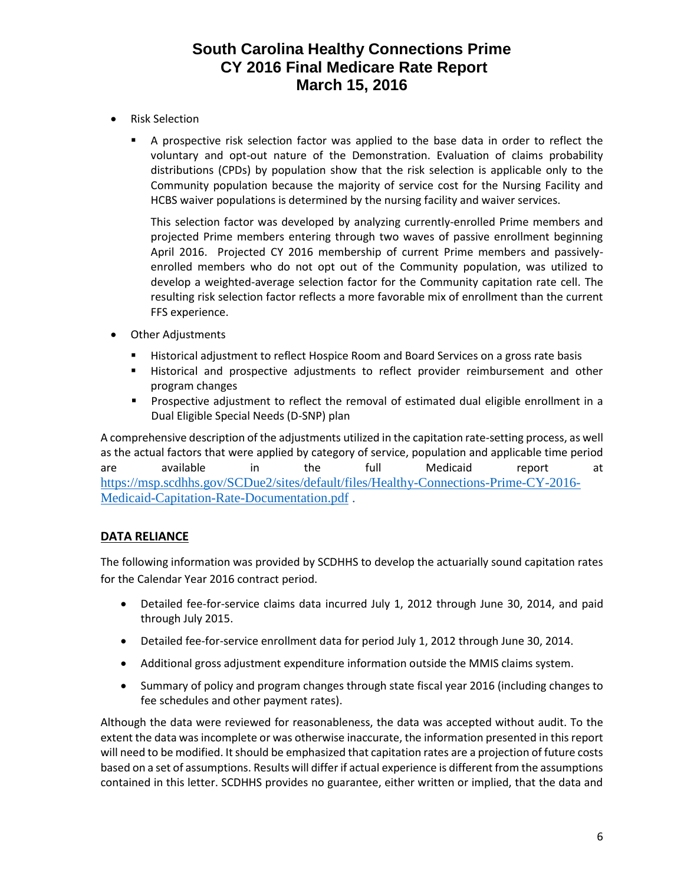- Risk Selection
	- A prospective risk selection factor was applied to the base data in order to reflect the voluntary and opt-out nature of the Demonstration. Evaluation of claims probability distributions (CPDs) by population show that the risk selection is applicable only to the Community population because the majority of service cost for the Nursing Facility and HCBS waiver populations is determined by the nursing facility and waiver services.

This selection factor was developed by analyzing currently-enrolled Prime members and projected Prime members entering through two waves of passive enrollment beginning April 2016. Projected CY 2016 membership of current Prime members and passivelyenrolled members who do not opt out of the Community population, was utilized to develop a weighted-average selection factor for the Community capitation rate cell. The resulting risk selection factor reflects a more favorable mix of enrollment than the current FFS experience.

- Other Adjustments
	- **EXECT** Historical adjustment to reflect Hospice Room and Board Services on a gross rate basis
	- Historical and prospective adjustments to reflect provider reimbursement and other program changes
	- **Prospective adjustment to reflect the removal of estimated dual eligible enrollment in a** Dual Eligible Special Needs (D-SNP) plan

A comprehensive description of the adjustments utilized in the capitation rate-setting process, as well as the actual factors that were applied by category of service, population and applicable time period are available in the full Medicaid report at [https://msp.scdhhs.gov/SCDue2/sites/default/files/Healthy-Connections-Prime-CY-2016-](https://msp.scdhhs.gov/SCDue2/sites/default/files/Healthy-Connections-Prime-CY-2016-Medicaid-Capitation-Rate-Documentation.pdf) [Medicaid-Capitation-Rate-Documentation.pdf](https://msp.scdhhs.gov/SCDue2/sites/default/files/Healthy-Connections-Prime-CY-2016-Medicaid-Capitation-Rate-Documentation.pdf) .

### **DATA RELIANCE**

The following information was provided by SCDHHS to develop the actuarially sound capitation rates for the Calendar Year 2016 contract period.

- Detailed fee-for-service claims data incurred July 1, 2012 through June 30, 2014, and paid through July 2015.
- Detailed fee-for-service enrollment data for period July 1, 2012 through June 30, 2014.
- Additional gross adjustment expenditure information outside the MMIS claims system.
- Summary of policy and program changes through state fiscal year 2016 (including changes to fee schedules and other payment rates).

Although the data were reviewed for reasonableness, the data was accepted without audit. To the extent the data was incomplete or was otherwise inaccurate, the information presented in this report will need to be modified. It should be emphasized that capitation rates are a projection of future costs based on a set of assumptions. Results will differ if actual experience is different from the assumptions contained in this letter. SCDHHS provides no guarantee, either written or implied, that the data and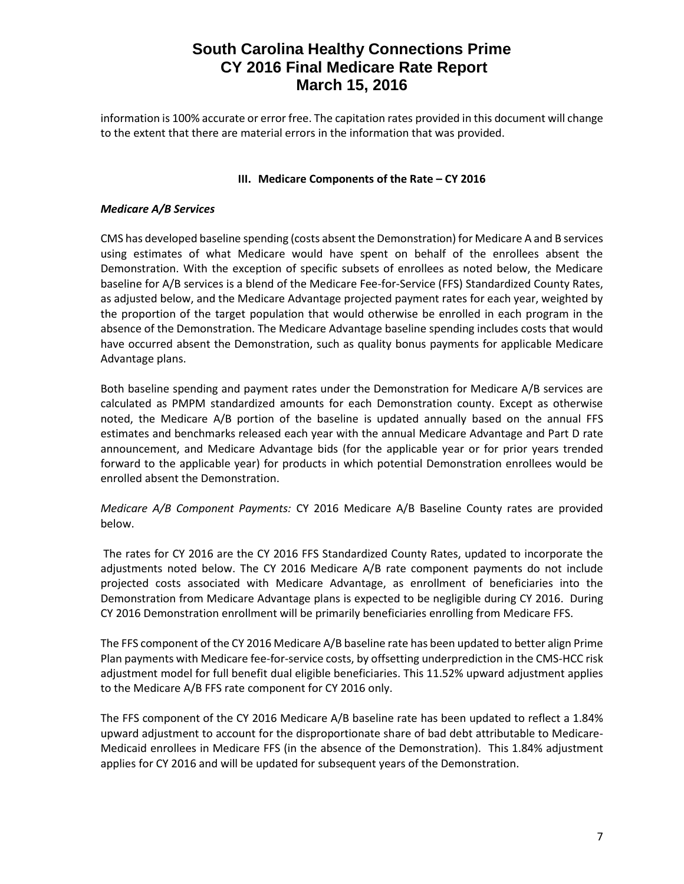information is 100% accurate or error free. The capitation rates provided in this document will change to the extent that there are material errors in the information that was provided.

### **III.** Medicare Components of the Rate – CY 2016

#### *Medicare A/B Services*

CMS has developed baseline spending (costs absent the Demonstration) for Medicare A and B services using estimates of what Medicare would have spent on behalf of the enrollees absent the Demonstration. With the exception of specific subsets of enrollees as noted below, the Medicare baseline for A/B services is a blend of the Medicare Fee-for-Service (FFS) Standardized County Rates, as adjusted below, and the Medicare Advantage projected payment rates for each year, weighted by the proportion of the target population that would otherwise be enrolled in each program in the absence of the Demonstration. The Medicare Advantage baseline spending includes costs that would have occurred absent the Demonstration, such as quality bonus payments for applicable Medicare Advantage plans.

Both baseline spending and payment rates under the Demonstration for Medicare A/B services are calculated as PMPM standardized amounts for each Demonstration county. Except as otherwise noted, the Medicare A/B portion of the baseline is updated annually based on the annual FFS estimates and benchmarks released each year with the annual Medicare Advantage and Part D rate announcement, and Medicare Advantage bids (for the applicable year or for prior years trended forward to the applicable year) for products in which potential Demonstration enrollees would be enrolled absent the Demonstration.

*Medicare A/B Component Payments:* CY 2016 Medicare A/B Baseline County rates are provided below.

The rates for CY 2016 are the CY 2016 FFS Standardized County Rates, updated to incorporate the adjustments noted below. The CY 2016 Medicare A/B rate component payments do not include projected costs associated with Medicare Advantage, as enrollment of beneficiaries into the Demonstration from Medicare Advantage plans is expected to be negligible during CY 2016. During CY 2016 Demonstration enrollment will be primarily beneficiaries enrolling from Medicare FFS.

The FFS component of the CY 2016 Medicare A/B baseline rate has been updated to better align Prime Plan payments with Medicare fee-for-service costs, by offsetting underprediction in the CMS-HCC risk adjustment model for full benefit dual eligible beneficiaries. This 11.52% upward adjustment applies to the Medicare A/B FFS rate component for CY 2016 only.

The FFS component of the CY 2016 Medicare A/B baseline rate has been updated to reflect a 1.84% upward adjustment to account for the disproportionate share of bad debt attributable to Medicare-Medicaid enrollees in Medicare FFS (in the absence of the Demonstration). This 1.84% adjustment applies for CY 2016 and will be updated for subsequent years of the Demonstration.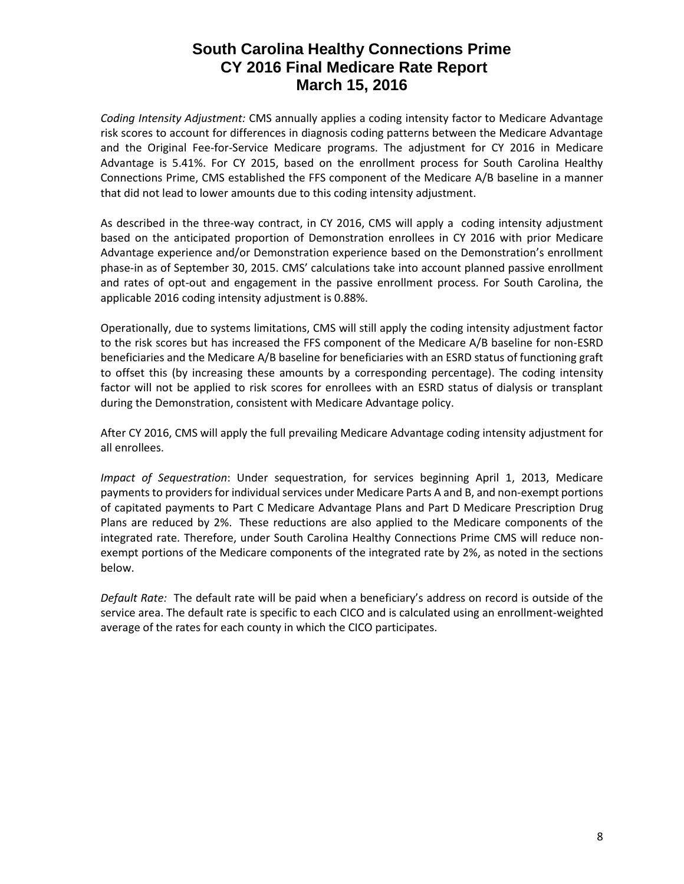*Coding Intensity Adjustment:* CMS annually applies a coding intensity factor to Medicare Advantage risk scores to account for differences in diagnosis coding patterns between the Medicare Advantage and the Original Fee-for-Service Medicare programs. The adjustment for CY 2016 in Medicare Advantage is 5.41%. For CY 2015, based on the enrollment process for South Carolina Healthy Connections Prime, CMS established the FFS component of the Medicare A/B baseline in a manner that did not lead to lower amounts due to this coding intensity adjustment.

As described in the three-way contract, in CY 2016, CMS will apply a coding intensity adjustment based on the anticipated proportion of Demonstration enrollees in CY 2016 with prior Medicare Advantage experience and/or Demonstration experience based on the Demonstration's enrollment phase-in as of September 30, 2015. CMS' calculations take into account planned passive enrollment and rates of opt-out and engagement in the passive enrollment process. For South Carolina, the applicable 2016 coding intensity adjustment is 0.88%.

Operationally, due to systems limitations, CMS will still apply the coding intensity adjustment factor to the risk scores but has increased the FFS component of the Medicare A/B baseline for non-ESRD beneficiaries and the Medicare A/B baseline for beneficiaries with an ESRD status of functioning graft to offset this (by increasing these amounts by a corresponding percentage). The coding intensity factor will not be applied to risk scores for enrollees with an ESRD status of dialysis or transplant during the Demonstration, consistent with Medicare Advantage policy.

After CY 2016, CMS will apply the full prevailing Medicare Advantage coding intensity adjustment for all enrollees.

*Impact of Sequestration*: Under sequestration, for services beginning April 1, 2013, Medicare payments to providers for individual services under Medicare Parts A and B, and non-exempt portions of capitated payments to Part C Medicare Advantage Plans and Part D Medicare Prescription Drug Plans are reduced by 2%. These reductions are also applied to the Medicare components of the integrated rate. Therefore, under South Carolina Healthy Connections Prime CMS will reduce nonexempt portions of the Medicare components of the integrated rate by 2%, as noted in the sections below.

*Default Rate:* The default rate will be paid when a beneficiary's address on record is outside of the service area. The default rate is specific to each CICO and is calculated using an enrollment-weighted average of the rates for each county in which the CICO participates.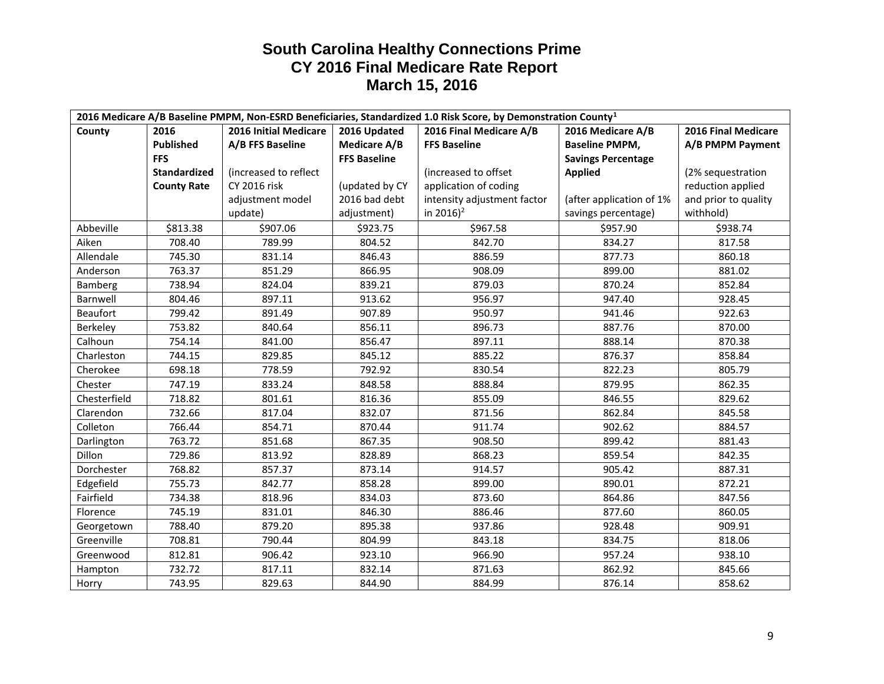| 2016 Medicare A/B Baseline PMPM, Non-ESRD Beneficiaries, Standardized 1.0 Risk Score, by Demonstration County <sup>1</sup> |                     |                       |                     |                             |                           |                      |
|----------------------------------------------------------------------------------------------------------------------------|---------------------|-----------------------|---------------------|-----------------------------|---------------------------|----------------------|
| County                                                                                                                     | 2016                | 2016 Initial Medicare | 2016 Updated        | 2016 Final Medicare A/B     | 2016 Medicare A/B         | 2016 Final Medicare  |
|                                                                                                                            | <b>Published</b>    | A/B FFS Baseline      | <b>Medicare A/B</b> | <b>FFS Baseline</b>         | <b>Baseline PMPM,</b>     | A/B PMPM Payment     |
|                                                                                                                            | <b>FFS</b>          |                       | <b>FFS Baseline</b> |                             | <b>Savings Percentage</b> |                      |
|                                                                                                                            | <b>Standardized</b> | (increased to reflect |                     | (increased to offset        | <b>Applied</b>            | (2% sequestration    |
|                                                                                                                            | <b>County Rate</b>  | CY 2016 risk          | (updated by CY      | application of coding       |                           | reduction applied    |
|                                                                                                                            |                     | adjustment model      | 2016 bad debt       | intensity adjustment factor | (after application of 1%  | and prior to quality |
|                                                                                                                            |                     | update)               | adjustment)         | in 2016) <sup>2</sup>       | savings percentage)       | withhold)            |
| Abbeville                                                                                                                  | \$813.38            | \$907.06              | \$923.75            | \$967.58                    | \$957.90                  | \$938.74             |
| Aiken                                                                                                                      | 708.40              | 789.99                | 804.52              | 842.70                      | 834.27                    | 817.58               |
| Allendale                                                                                                                  | 745.30              | 831.14                | 846.43              | 886.59                      | 877.73                    | 860.18               |
| Anderson                                                                                                                   | 763.37              | 851.29                | 866.95              | 908.09                      | 899.00                    | 881.02               |
| Bamberg                                                                                                                    | 738.94              | 824.04                | 839.21              | 879.03                      | 870.24                    | 852.84               |
| Barnwell                                                                                                                   | 804.46              | 897.11                | 913.62              | 956.97                      | 947.40                    | 928.45               |
| <b>Beaufort</b>                                                                                                            | 799.42              | 891.49                | 907.89              | 950.97                      | 941.46                    | 922.63               |
| Berkeley                                                                                                                   | 753.82              | 840.64                | 856.11              | 896.73                      | 887.76                    | 870.00               |
| Calhoun                                                                                                                    | 754.14              | 841.00                | 856.47              | 897.11                      | 888.14                    | 870.38               |
| Charleston                                                                                                                 | 744.15              | 829.85                | 845.12              | 885.22                      | 876.37                    | 858.84               |
| Cherokee                                                                                                                   | 698.18              | 778.59                | 792.92              | 830.54                      | 822.23                    | 805.79               |
| Chester                                                                                                                    | 747.19              | 833.24                | 848.58              | 888.84                      | 879.95                    | 862.35               |
| Chesterfield                                                                                                               | 718.82              | 801.61                | 816.36              | 855.09                      | 846.55                    | 829.62               |
| Clarendon                                                                                                                  | 732.66              | 817.04                | 832.07              | 871.56                      | 862.84                    | 845.58               |
| Colleton                                                                                                                   | 766.44              | 854.71                | 870.44              | 911.74                      | 902.62                    | 884.57               |
| Darlington                                                                                                                 | 763.72              | 851.68                | 867.35              | 908.50                      | 899.42                    | 881.43               |
| Dillon                                                                                                                     | 729.86              | 813.92                | 828.89              | 868.23                      | 859.54                    | 842.35               |
| Dorchester                                                                                                                 | 768.82              | 857.37                | 873.14              | 914.57                      | 905.42                    | 887.31               |
| Edgefield                                                                                                                  | 755.73              | 842.77                | 858.28              | 899.00                      | 890.01                    | 872.21               |
| Fairfield                                                                                                                  | 734.38              | 818.96                | 834.03              | 873.60                      | 864.86                    | 847.56               |
| Florence                                                                                                                   | 745.19              | 831.01                | 846.30              | 886.46                      | 877.60                    | 860.05               |
| Georgetown                                                                                                                 | 788.40              | 879.20                | 895.38              | 937.86                      | 928.48                    | 909.91               |
| Greenville                                                                                                                 | 708.81              | 790.44                | 804.99              | 843.18                      | 834.75                    | 818.06               |
| Greenwood                                                                                                                  | 812.81              | 906.42                | 923.10              | 966.90                      | 957.24                    | 938.10               |
| Hampton                                                                                                                    | 732.72              | 817.11                | 832.14              | 871.63                      | 862.92                    | 845.66               |
| Horry                                                                                                                      | 743.95              | 829.63                | 844.90              | 884.99                      | 876.14                    | 858.62               |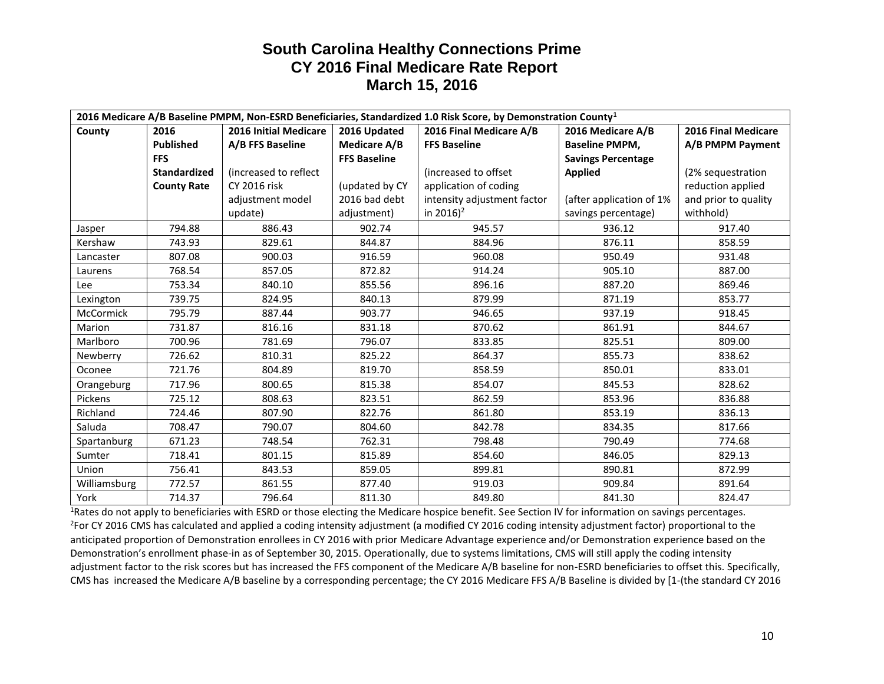| 2016 Medicare A/B Baseline PMPM, Non-ESRD Beneficiaries, Standardized 1.0 Risk Score, by Demonstration County <sup>1</sup> |                     |                              |                     |                             |                           |                      |
|----------------------------------------------------------------------------------------------------------------------------|---------------------|------------------------------|---------------------|-----------------------------|---------------------------|----------------------|
| County                                                                                                                     | 2016                | <b>2016 Initial Medicare</b> | 2016 Updated        | 2016 Final Medicare A/B     | 2016 Medicare A/B         | 2016 Final Medicare  |
|                                                                                                                            | <b>Published</b>    | A/B FFS Baseline             | Medicare A/B        | <b>FFS Baseline</b>         | <b>Baseline PMPM,</b>     | A/B PMPM Payment     |
|                                                                                                                            | <b>FFS</b>          |                              | <b>FFS Baseline</b> |                             | <b>Savings Percentage</b> |                      |
|                                                                                                                            | <b>Standardized</b> | (increased to reflect        |                     | lincreased to offset        | <b>Applied</b>            | (2% sequestration    |
|                                                                                                                            | <b>County Rate</b>  | <b>CY 2016 risk</b>          | (updated by CY      | application of coding       |                           | reduction applied    |
|                                                                                                                            |                     | adjustment model             | 2016 bad debt       | intensity adjustment factor | (after application of 1%  | and prior to quality |
|                                                                                                                            |                     | update)                      | adjustment)         | in 2016) <sup>2</sup>       | savings percentage)       | withhold)            |
| Jasper                                                                                                                     | 794.88              | 886.43                       | 902.74              | 945.57                      | 936.12                    | 917.40               |
| Kershaw                                                                                                                    | 743.93              | 829.61                       | 844.87              | 884.96                      | 876.11                    | 858.59               |
| Lancaster                                                                                                                  | 807.08              | 900.03                       | 916.59              | 960.08                      | 950.49                    | 931.48               |
| Laurens                                                                                                                    | 768.54              | 857.05                       | 872.82              | 914.24                      | 905.10                    | 887.00               |
| <b>Lee</b>                                                                                                                 | 753.34              | 840.10                       | 855.56              | 896.16                      | 887.20                    | 869.46               |
| Lexington                                                                                                                  | 739.75              | 824.95                       | 840.13              | 879.99                      | 871.19                    | 853.77               |
| McCormick                                                                                                                  | 795.79              | 887.44                       | 903.77              | 946.65                      | 937.19                    | 918.45               |
| Marion                                                                                                                     | 731.87              | 816.16                       | 831.18              | 870.62                      | 861.91                    | 844.67               |
| Marlboro                                                                                                                   | 700.96              | 781.69                       | 796.07              | 833.85                      | 825.51                    | 809.00               |
| Newberry                                                                                                                   | 726.62              | 810.31                       | 825.22              | 864.37                      | 855.73                    | 838.62               |
| Oconee                                                                                                                     | 721.76              | 804.89                       | 819.70              | 858.59                      | 850.01                    | 833.01               |
| Orangeburg                                                                                                                 | 717.96              | 800.65                       | 815.38              | 854.07                      | 845.53                    | 828.62               |
| Pickens                                                                                                                    | 725.12              | 808.63                       | 823.51              | 862.59                      | 853.96                    | 836.88               |
| Richland                                                                                                                   | 724.46              | 807.90                       | 822.76              | 861.80                      | 853.19                    | 836.13               |
| Saluda                                                                                                                     | 708.47              | 790.07                       | 804.60              | 842.78                      | 834.35                    | 817.66               |
| Spartanburg                                                                                                                | 671.23              | 748.54                       | 762.31              | 798.48                      | 790.49                    | 774.68               |
| Sumter                                                                                                                     | 718.41              | 801.15                       | 815.89              | 854.60                      | 846.05                    | 829.13               |
| Union                                                                                                                      | 756.41              | 843.53                       | 859.05              | 899.81                      | 890.81                    | 872.99               |
| Williamsburg                                                                                                               | 772.57              | 861.55                       | 877.40              | 919.03                      | 909.84                    | 891.64               |
| York                                                                                                                       | 714.37              | 796.64                       | 811.30              | 849.80                      | 841.30                    | 824.47               |

<sup>1</sup>Rates do not apply to beneficiaries with ESRD or those electing the Medicare hospice benefit. See Section IV for information on savings percentages. 2 For CY 2016 CMS has calculated and applied a coding intensity adjustment (a modified CY 2016 coding intensity adjustment factor) proportional to the anticipated proportion of Demonstration enrollees in CY 2016 with prior Medicare Advantage experience and/or Demonstration experience based on the Demonstration's enrollment phase-in as of September 30, 2015. Operationally, due to systems limitations, CMS will still apply the coding intensity adjustment factor to the risk scores but has increased the FFS component of the Medicare A/B baseline for non-ESRD beneficiaries to offset this. Specifically, CMS has increased the Medicare A/B baseline by a corresponding percentage; the CY 2016 Medicare FFS A/B Baseline is divided by [1-(the standard CY 2016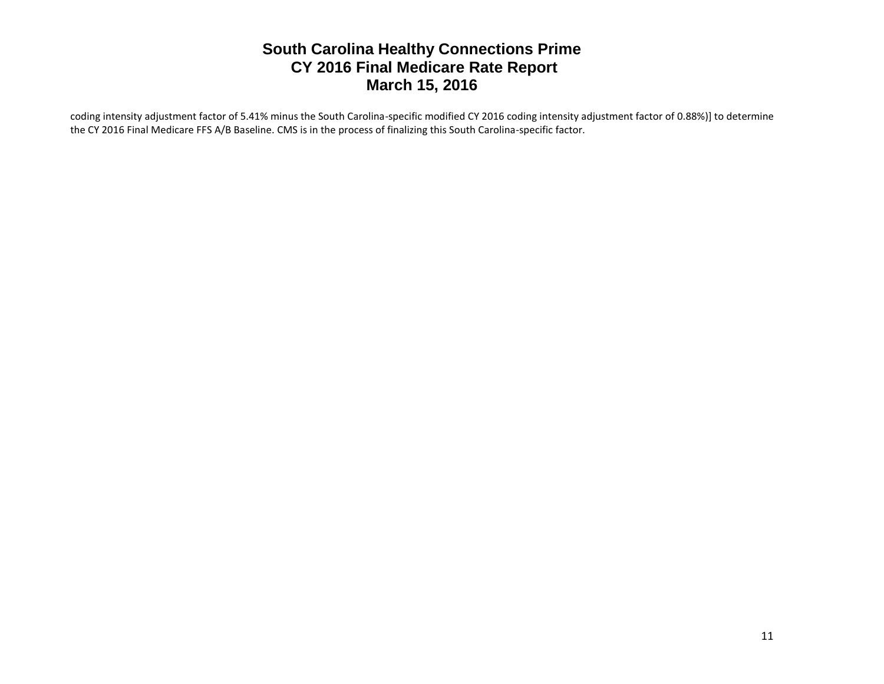coding intensity adjustment factor of 5.41% minus the South Carolina-specific modified CY 2016 coding intensity adjustment factor of 0.88%)] to determine the CY 2016 Final Medicare FFS A/B Baseline. CMS is in the process of finalizing this South Carolina-specific factor.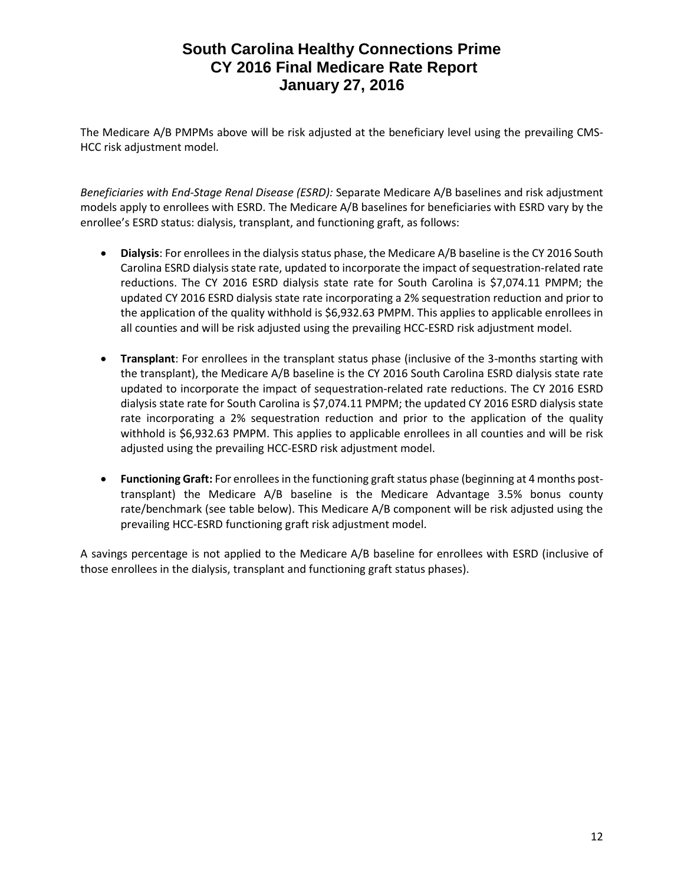The Medicare A/B PMPMs above will be risk adjusted at the beneficiary level using the prevailing CMS-HCC risk adjustment model.

*Beneficiaries with End-Stage Renal Disease (ESRD):* Separate Medicare A/B baselines and risk adjustment models apply to enrollees with ESRD. The Medicare A/B baselines for beneficiaries with ESRD vary by the enrollee's ESRD status: dialysis, transplant, and functioning graft, as follows:

- **Dialysis**: For enrollees in the dialysis status phase, the Medicare A/B baseline is the CY 2016 South Carolina ESRD dialysis state rate, updated to incorporate the impact of sequestration-related rate reductions. The CY 2016 ESRD dialysis state rate for South Carolina is \$7,074.11 PMPM; the updated CY 2016 ESRD dialysis state rate incorporating a 2% sequestration reduction and prior to the application of the quality withhold is \$6,932.63 PMPM. This applies to applicable enrollees in all counties and will be risk adjusted using the prevailing HCC-ESRD risk adjustment model.
- **Transplant**: For enrollees in the transplant status phase (inclusive of the 3-months starting with the transplant), the Medicare A/B baseline is the CY 2016 South Carolina ESRD dialysis state rate updated to incorporate the impact of sequestration-related rate reductions. The CY 2016 ESRD dialysis state rate for South Carolina is \$7,074.11 PMPM; the updated CY 2016 ESRD dialysis state rate incorporating a 2% sequestration reduction and prior to the application of the quality withhold is \$6,932.63 PMPM. This applies to applicable enrollees in all counties and will be risk adjusted using the prevailing HCC-ESRD risk adjustment model.
- **Functioning Graft:** For enrollees in the functioning graft status phase (beginning at 4 months posttransplant) the Medicare A/B baseline is the Medicare Advantage 3.5% bonus county rate/benchmark (see table below). This Medicare A/B component will be risk adjusted using the prevailing HCC-ESRD functioning graft risk adjustment model.

A savings percentage is not applied to the Medicare A/B baseline for enrollees with ESRD (inclusive of those enrollees in the dialysis, transplant and functioning graft status phases).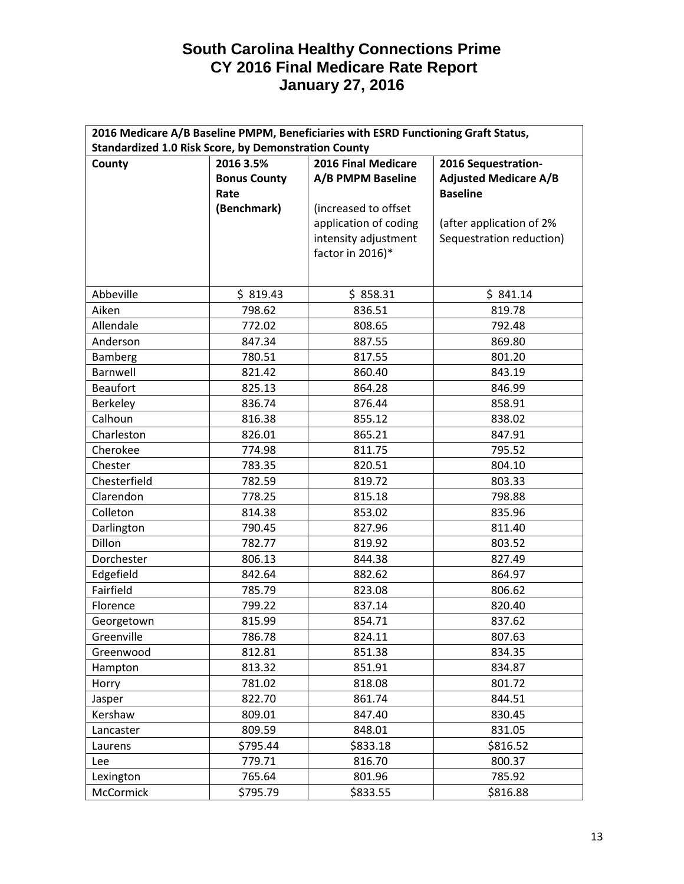| 2016 Medicare A/B Baseline PMPM, Beneficiaries with ESRD Functioning Graft Status, |                                  |                       |                              |  |  |
|------------------------------------------------------------------------------------|----------------------------------|-----------------------|------------------------------|--|--|
| <b>Standardized 1.0 Risk Score, by Demonstration County</b>                        |                                  |                       |                              |  |  |
| County                                                                             | 2016 Final Medicare<br>2016 3.5% |                       | 2016 Sequestration-          |  |  |
|                                                                                    | <b>Bonus County</b>              | A/B PMPM Baseline     | <b>Adjusted Medicare A/B</b> |  |  |
|                                                                                    | Rate                             |                       | <b>Baseline</b>              |  |  |
|                                                                                    | (Benchmark)                      | (increased to offset  |                              |  |  |
|                                                                                    |                                  | application of coding | (after application of 2%     |  |  |
|                                                                                    |                                  | intensity adjustment  | Sequestration reduction)     |  |  |
|                                                                                    |                                  | factor in 2016)*      |                              |  |  |
|                                                                                    |                                  |                       |                              |  |  |
| Abbeville                                                                          | \$319.43                         | \$858.31              | \$841.14                     |  |  |
| Aiken                                                                              | 798.62                           | 836.51                | 819.78                       |  |  |
| Allendale                                                                          | 772.02                           | 808.65                | 792.48                       |  |  |
| Anderson                                                                           | 847.34                           | 887.55                | 869.80                       |  |  |
| <b>Bamberg</b>                                                                     | 780.51                           | 817.55                | 801.20                       |  |  |
| Barnwell                                                                           | 821.42                           | 860.40                | 843.19                       |  |  |
| <b>Beaufort</b>                                                                    | 825.13                           | 864.28                | 846.99                       |  |  |
| Berkeley                                                                           | 836.74                           | 876.44                | 858.91                       |  |  |
| Calhoun                                                                            | 816.38                           | 855.12                | 838.02                       |  |  |
| Charleston                                                                         | 826.01                           | 865.21                | 847.91                       |  |  |
| Cherokee                                                                           | 774.98                           | 811.75                | 795.52                       |  |  |
| Chester                                                                            | 783.35                           | 820.51                | 804.10                       |  |  |
| Chesterfield                                                                       | 782.59                           | 819.72                | 803.33                       |  |  |
| Clarendon                                                                          | 778.25                           | 815.18                | 798.88                       |  |  |
| Colleton                                                                           | 814.38                           | 853.02                | 835.96                       |  |  |
| Darlington                                                                         | 790.45                           | 827.96                | 811.40                       |  |  |
| Dillon                                                                             | 782.77                           | 819.92                | 803.52                       |  |  |
| Dorchester                                                                         | 806.13                           | 844.38                | 827.49                       |  |  |
| Edgefield                                                                          | 842.64                           | 882.62                | 864.97                       |  |  |
| Fairfield                                                                          | 785.79                           | 823.08                | 806.62                       |  |  |
| Florence                                                                           | 799.22                           | 837.14                | 820.40                       |  |  |
| Georgetown                                                                         | 815.99                           | 854.71                | 837.62                       |  |  |
| Greenville                                                                         | 786.78                           | 824.11                | 807.63                       |  |  |
| Greenwood                                                                          | 812.81                           | 851.38                | 834.35                       |  |  |
| Hampton                                                                            | 813.32                           | 851.91                | 834.87                       |  |  |
| Horry                                                                              | 781.02                           | 818.08                | 801.72                       |  |  |
| Jasper                                                                             | 822.70                           | 861.74                | 844.51                       |  |  |
| Kershaw                                                                            | 809.01                           | 847.40                | 830.45                       |  |  |
| Lancaster                                                                          | 809.59                           | 848.01                | 831.05                       |  |  |
| Laurens                                                                            | \$795.44                         | \$833.18              | \$816.52                     |  |  |
| Lee                                                                                | 779.71                           | 816.70                | 800.37                       |  |  |
| Lexington                                                                          | 765.64                           | 801.96                | 785.92                       |  |  |
| McCormick                                                                          | \$795.79                         | \$833.55              | \$816.88                     |  |  |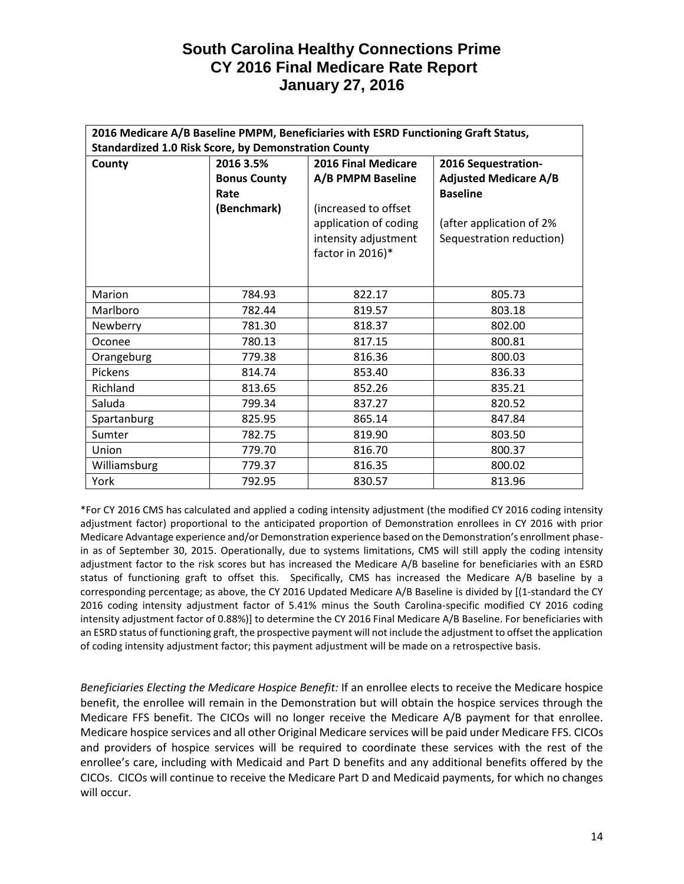| 2016 Medicare A/B Baseline PMPM, Beneficiaries with ESRD Functioning Graft Status, |                                         |                       |                              |  |  |
|------------------------------------------------------------------------------------|-----------------------------------------|-----------------------|------------------------------|--|--|
| <b>Standardized 1.0 Risk Score, by Demonstration County</b>                        |                                         |                       |                              |  |  |
| County                                                                             | <b>2016 Final Medicare</b><br>2016 3.5% |                       | 2016 Sequestration-          |  |  |
|                                                                                    | <b>Bonus County</b>                     | A/B PMPM Baseline     | <b>Adjusted Medicare A/B</b> |  |  |
|                                                                                    | Rate                                    |                       | <b>Baseline</b>              |  |  |
|                                                                                    | (Benchmark)                             | (increased to offset  |                              |  |  |
|                                                                                    |                                         | application of coding | (after application of 2%     |  |  |
|                                                                                    |                                         | intensity adjustment  | Sequestration reduction)     |  |  |
|                                                                                    |                                         | factor in 2016)*      |                              |  |  |
|                                                                                    |                                         |                       |                              |  |  |
|                                                                                    |                                         |                       |                              |  |  |
| Marion                                                                             | 784.93                                  | 822.17                | 805.73                       |  |  |
| Marlboro                                                                           | 782.44                                  | 819.57                | 803.18                       |  |  |
| Newberry                                                                           | 781.30                                  | 818.37                | 802.00                       |  |  |
| Oconee                                                                             | 780.13                                  | 817.15                | 800.81                       |  |  |
| Orangeburg                                                                         | 779.38                                  | 816.36                | 800.03                       |  |  |
| Pickens                                                                            | 814.74                                  | 853.40                | 836.33                       |  |  |
| Richland                                                                           | 813.65                                  | 852.26                | 835.21                       |  |  |
| Saluda                                                                             | 799.34                                  | 837.27                | 820.52                       |  |  |
| Spartanburg                                                                        | 825.95                                  | 865.14                | 847.84                       |  |  |
| Sumter                                                                             | 782.75                                  | 819.90                | 803.50                       |  |  |
| Union                                                                              | 779.70                                  | 816.70                | 800.37                       |  |  |
| Williamsburg                                                                       | 779.37                                  | 816.35                | 800.02                       |  |  |
| York                                                                               | 792.95                                  | 830.57                | 813.96                       |  |  |

\*For CY 2016 CMS has calculated and applied a coding intensity adjustment (the modified CY 2016 coding intensity adjustment factor) proportional to the anticipated proportion of Demonstration enrollees in CY 2016 with prior Medicare Advantage experience and/or Demonstration experience based on the Demonstration's enrollment phasein as of September 30, 2015. Operationally, due to systems limitations, CMS will still apply the coding intensity adjustment factor to the risk scores but has increased the Medicare A/B baseline for beneficiaries with an ESRD status of functioning graft to offset this. Specifically, CMS has increased the Medicare A/B baseline by a corresponding percentage; as above, the CY 2016 Updated Medicare A/B Baseline is divided by [(1-standard the CY 2016 coding intensity adjustment factor of 5.41% minus the South Carolina-specific modified CY 2016 coding intensity adjustment factor of 0.88%)] to determine the CY 2016 Final Medicare A/B Baseline. For beneficiaries with an ESRD status of functioning graft, the prospective payment will not include the adjustment to offset the application of coding intensity adjustment factor; this payment adjustment will be made on a retrospective basis.

*Beneficiaries Electing the Medicare Hospice Benefit:* If an enrollee elects to receive the Medicare hospice benefit, the enrollee will remain in the Demonstration but will obtain the hospice services through the Medicare FFS benefit. The CICOs will no longer receive the Medicare A/B payment for that enrollee. Medicare hospice services and all other Original Medicare services will be paid under Medicare FFS. CICOs and providers of hospice services will be required to coordinate these services with the rest of the enrollee's care, including with Medicaid and Part D benefits and any additional benefits offered by the CICOs. CICOs will continue to receive the Medicare Part D and Medicaid payments, for which no changes will occur.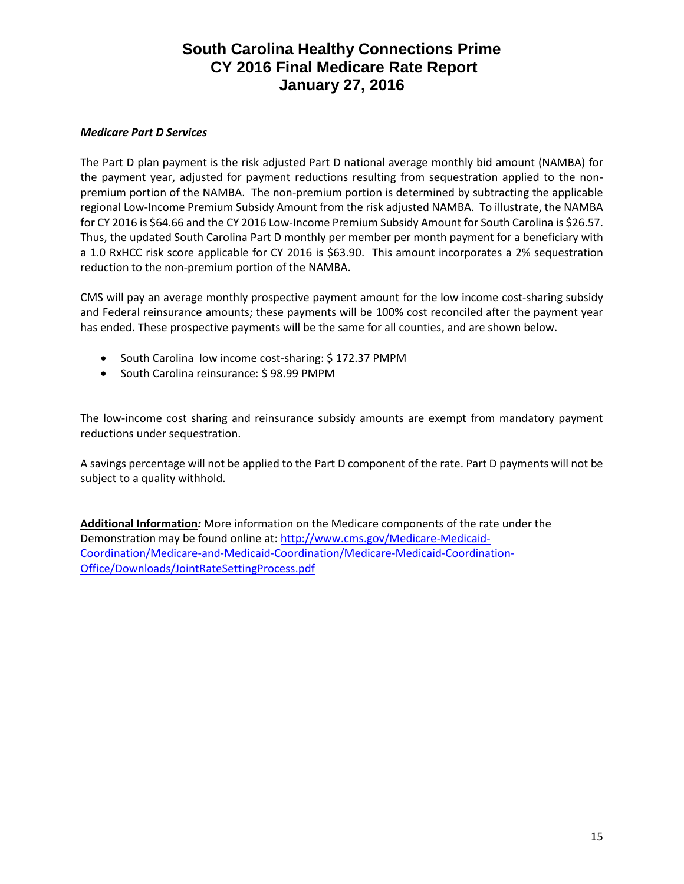### *Medicare Part D Services*

The Part D plan payment is the risk adjusted Part D national average monthly bid amount (NAMBA) for the payment year, adjusted for payment reductions resulting from sequestration applied to the nonpremium portion of the NAMBA. The non-premium portion is determined by subtracting the applicable regional Low-Income Premium Subsidy Amount from the risk adjusted NAMBA. To illustrate, the NAMBA for CY 2016 is \$64.66 and the CY 2016 Low-Income Premium Subsidy Amount for South Carolina is \$26.57. Thus, the updated South Carolina Part D monthly per member per month payment for a beneficiary with a 1.0 RxHCC risk score applicable for CY 2016 is \$63.90. This amount incorporates a 2% sequestration reduction to the non-premium portion of the NAMBA.

CMS will pay an average monthly prospective payment amount for the low income cost-sharing subsidy and Federal reinsurance amounts; these payments will be 100% cost reconciled after the payment year has ended. These prospective payments will be the same for all counties, and are shown below.

- South Carolina low income cost-sharing: \$172.37 PMPM
- South Carolina reinsurance: \$98.99 PMPM

The low-income cost sharing and reinsurance subsidy amounts are exempt from mandatory payment reductions under sequestration.

A savings percentage will not be applied to the Part D component of the rate. Part D payments will not be subject to a quality withhold.

**Additional Information***:* More information on the Medicare components of the rate under the Demonstration may be found online at: [http://www.cms.gov/Medicare-Medicaid-](http://www.cms.gov/Medicare-Medicaid-Coordination/Medicare-and-Medicaid-Coordination/Medicare-Medicaid-Coordination-Office/Downloads/JointRateSettingProcess.pdf)[Coordination/Medicare-and-Medicaid-Coordination/Medicare-Medicaid-Coordination-](http://www.cms.gov/Medicare-Medicaid-Coordination/Medicare-and-Medicaid-Coordination/Medicare-Medicaid-Coordination-Office/Downloads/JointRateSettingProcess.pdf)[Office/Downloads/JointRateSettingProcess.pdf](http://www.cms.gov/Medicare-Medicaid-Coordination/Medicare-and-Medicaid-Coordination/Medicare-Medicaid-Coordination-Office/Downloads/JointRateSettingProcess.pdf)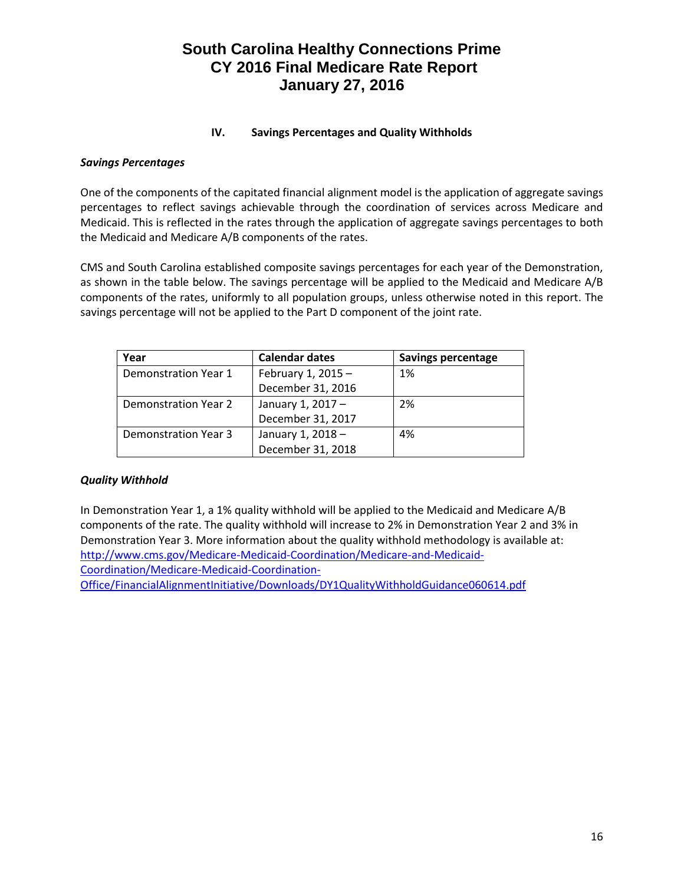### **IV. Savings Percentages and Quality Withholds**

#### *Savings Percentages*

One of the components of the capitated financial alignment model is the application of aggregate savings percentages to reflect savings achievable through the coordination of services across Medicare and Medicaid. This is reflected in the rates through the application of aggregate savings percentages to both the Medicaid and Medicare A/B components of the rates.

CMS and South Carolina established composite savings percentages for each year of the Demonstration, as shown in the table below. The savings percentage will be applied to the Medicaid and Medicare A/B components of the rates, uniformly to all population groups, unless otherwise noted in this report. The savings percentage will not be applied to the Part D component of the joint rate.

| Year                 | <b>Calendar dates</b> | <b>Savings percentage</b> |
|----------------------|-----------------------|---------------------------|
| Demonstration Year 1 | February 1, 2015 $-$  | 1%                        |
|                      | December 31, 2016     |                           |
| Demonstration Year 2 | January 1, 2017 -     | 2%                        |
|                      | December 31, 2017     |                           |
| Demonstration Year 3 | January 1, 2018 -     | 4%                        |
|                      | December 31, 2018     |                           |

#### *Quality Withhold*

In Demonstration Year 1, a 1% quality withhold will be applied to the Medicaid and Medicare A/B components of the rate. The quality withhold will increase to 2% in Demonstration Year 2 and 3% in Demonstration Year 3. More information about the quality withhold methodology is available at: [http://www.cms.gov/Medicare-Medicaid-Coordination/Medicare-and-Medicaid-](http://www.cms.gov/Medicare-Medicaid-Coordination/Medicare-and-Medicaid-Coordination/Medicare-Medicaid-Coordination-Office/FinancialAlignmentInitiative/Downloads/DY1QualityWithholdGuidance060614.pdf)[Coordination/Medicare-Medicaid-Coordination-](http://www.cms.gov/Medicare-Medicaid-Coordination/Medicare-and-Medicaid-Coordination/Medicare-Medicaid-Coordination-Office/FinancialAlignmentInitiative/Downloads/DY1QualityWithholdGuidance060614.pdf)[Office/FinancialAlignmentInitiative/Downloads/DY1QualityWithholdGuidance060614.pdf](http://www.cms.gov/Medicare-Medicaid-Coordination/Medicare-and-Medicaid-Coordination/Medicare-Medicaid-Coordination-Office/FinancialAlignmentInitiative/Downloads/DY1QualityWithholdGuidance060614.pdf)